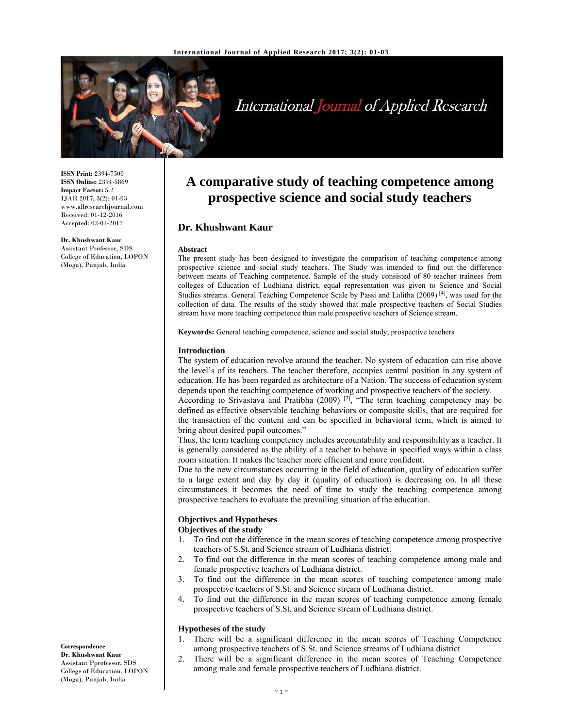

# International Journal of Applied Research

**ISSN Print:** 2394-7500 **ISSN Online:** 2394-5869 **Impact Factor:** 5.2 IJAR 2017; 3(2): 01-03 www.allresearchjournal.com Received: 01-12-2016 Accepted: 02-01-2017

**Dr. Khushwant Kaur**  Assistant Professor, SDS College of Education, LOPON (Moga), Punjab, India

## **A comparative study of teaching competence among prospective science and social study teachers**

## **Dr. Khushwant Kaur**

#### **Abstract**

The present study has been designed to investigate the comparison of teaching competence among prospective science and social study teachers. The Study was intended to find out the difference between means of Teaching competence. Sample of the study consisted of 80 teacher trainees from colleges of Education of Ludhiana district, equal representation was given to Science and Social Studies streams. General Teaching Competence Scale by Passi and Lalitha  $(2009)^{[4]}$ , was used for the collection of data. The results of the study showed that male prospective teachers of Social Studies stream have more teaching competence than male prospective teachers of Science stream.

**Keywords:** General teaching competence, science and social study, prospective teachers

#### **Introduction**

The system of education revolve around the teacher. No system of education can rise above the level's of its teachers. The teacher therefore, occupies central position in any system of education. He has been regarded as architecture of a Nation. The success of education system depends upon the teaching competence of working and prospective teachers of the society.

According to Srivastava and Pratibha (2009)  $[7]$ , "The term teaching competency may be defined as effective observable teaching behaviors or composite skills, that are required for the transaction of the content and can be specified in behavioral term, which is aimed to bring about desired pupil outcomes."

Thus, the term teaching competency includes accountability and responsibility as a teacher. It is generally considered as the ability of a teacher to behave in specified ways within a class room situation. It makes the teacher more efficient and more confident.

Due to the new circumstances occurring in the field of education, quality of education suffer to a large extent and day by day it (quality of education) is decreasing on. In all these circumstances it becomes the need of time to study the teaching competence among prospective teachers to evaluate the prevailing situation of the education.

## **Objectives and Hypotheses Objectives of the study**

- 1. To find out the difference in the mean scores of teaching competence among prospective teachers of S.St. and Science stream of Ludhiana district.
- 2. To find out the difference in the mean scores of teaching competence among male and female prospective teachers of Ludhiana district.
- 3. To find out the difference in the mean scores of teaching competence among male prospective teachers of S.St. and Science stream of Ludhiana district.
- 4. To find out the difference in the mean scores of teaching competence among female prospective teachers of S.St. and Science stream of Ludhiana district.

## **Hypotheses of the study**

- 1. There will be a significant difference in the mean scores of Teaching Competence among prospective teachers of S.St. and Science streams of Ludhiana district
- 2. There will be a significant difference in the mean scores of Teaching Competence among male and female prospective teachers of Ludhiana district.

**Correspondence Dr. Khushwant Kaur**  Assistant Pprofessor, SDS College of Education, LOPON (Moga), Punjab, India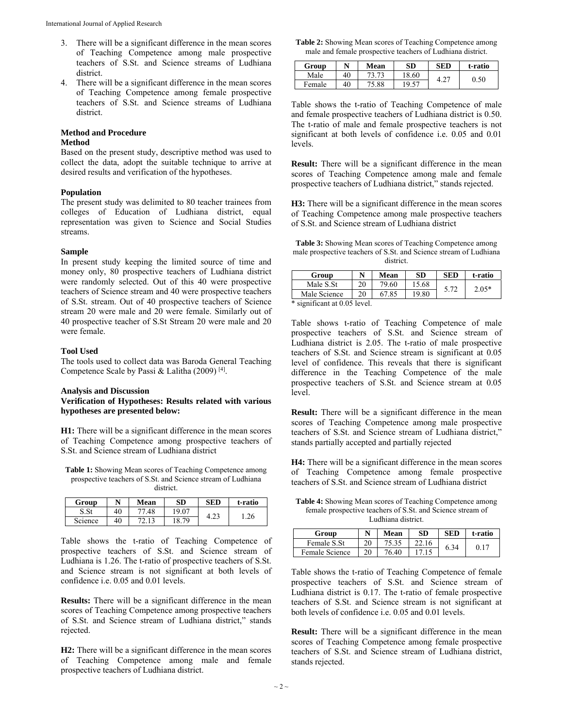- 3. There will be a significant difference in the mean scores of Teaching Competence among male prospective teachers of S.St. and Science streams of Ludhiana district.
- 4. There will be a significant difference in the mean scores of Teaching Competence among female prospective teachers of S.St. and Science streams of Ludhiana district.

## **Method and Procedure**

## **Method**

Based on the present study, descriptive method was used to collect the data, adopt the suitable technique to arrive at desired results and verification of the hypotheses.

## **Population**

The present study was delimited to 80 teacher trainees from colleges of Education of Ludhiana district, equal representation was given to Science and Social Studies streams.

### **Sample**

In present study keeping the limited source of time and money only, 80 prospective teachers of Ludhiana district were randomly selected. Out of this 40 were prospective teachers of Science stream and 40 were prospective teachers of S.St. stream. Out of 40 prospective teachers of Science stream 20 were male and 20 were female. Similarly out of 40 prospective teacher of S.St Stream 20 were male and 20 were female.

#### **Tool Used**

The tools used to collect data was Baroda General Teaching Competence Scale by Passi & Lalitha (2009)<sup>[4]</sup>.

#### **Analysis and Discussion**

**Verification of Hypotheses: Results related with various hypotheses are presented below:** 

**H1:** There will be a significant difference in the mean scores of Teaching Competence among prospective teachers of S.St. and Science stream of Ludhiana district

**Table 1:** Showing Mean scores of Teaching Competence among prospective teachers of S.St. and Science stream of Ludhiana district.

| Group   | N  | Mean | SD         | <b>SED</b> | t-ratio |
|---------|----|------|------------|------------|---------|
|         | 40 | 48   | $19.0^{-}$ |            | .26     |
| Science | 40 |      | 70<br>10   | 4.Z3       |         |

Table shows the t-ratio of Teaching Competence of prospective teachers of S.St. and Science stream of Ludhiana is 1.26. The t-ratio of prospective teachers of S.St. and Science stream is not significant at both levels of confidence i.e. 0.05 and 0.01 levels.

**Results:** There will be a significant difference in the mean scores of Teaching Competence among prospective teachers of S.St. and Science stream of Ludhiana district," stands rejected.

**H2:** There will be a significant difference in the mean scores of Teaching Competence among male and female prospective teachers of Ludhiana district.

**Table 2:** Showing Mean scores of Teaching Competence among male and female prospective teachers of Ludhiana district.

| Group  |    | Mean  | SD    | SED             | t-ratio |
|--------|----|-------|-------|-----------------|---------|
| Male   | 40 |       | 18.60 | . $\mathcal{D}$ | 0.50    |
| Female | 40 | 75.88 | 19.57 | 4.2.            |         |

Table shows the t-ratio of Teaching Competence of male and female prospective teachers of Ludhiana district is 0.50. The t-ratio of male and female prospective teachers is not significant at both levels of confidence i.e. 0.05 and 0.01 levels.

**Result:** There will be a significant difference in the mean scores of Teaching Competence among male and female prospective teachers of Ludhiana district," stands rejected.

**H3:** There will be a significant difference in the mean scores of Teaching Competence among male prospective teachers of S.St. and Science stream of Ludhiana district

**Table 3:** Showing Mean scores of Teaching Competence among male prospective teachers of S.St. and Science stream of Ludhiana district.

| Group                       |    | Mean  | SD    | <b>SED</b> | t-ratio |
|-----------------------------|----|-------|-------|------------|---------|
| Male S.St                   |    | 79.60 | 15.68 | 5.72       | $2.05*$ |
| Male Science                | 20 | 67.85 | 19.80 |            |         |
| * sionificant at 0.05 level |    |       |       |            |         |

significant at 0.05 level.

Table shows t-ratio of Teaching Competence of male prospective teachers of S.St. and Science stream of Ludhiana district is 2.05. The t-ratio of male prospective teachers of S.St. and Science stream is significant at 0.05 level of confidence. This reveals that there is significant difference in the Teaching Competence of the male prospective teachers of S.St. and Science stream at 0.05 level.

**Result:** There will be a significant difference in the mean scores of Teaching Competence among male prospective teachers of S.St. and Science stream of Ludhiana district," stands partially accepted and partially rejected

**H4:** There will be a significant difference in the mean scores of Teaching Competence among female prospective teachers of S.St. and Science stream of Ludhiana district

**Table 4:** Showing Mean scores of Teaching Competence among female prospective teachers of S.St. and Science stream of Ludhiana district.

| Group          |          | Mean  | <b>SD</b> | SED  | t-ratio |
|----------------|----------|-------|-----------|------|---------|
| Female S.St    |          |       |           | 6.34 |         |
| Female Science | $\Omega$ | 76.40 |           |      |         |

Table shows the t-ratio of Teaching Competence of female prospective teachers of S.St. and Science stream of Ludhiana district is 0.17. The t-ratio of female prospective teachers of S.St. and Science stream is not significant at both levels of confidence i.e. 0.05 and 0.01 levels.

**Result:** There will be a significant difference in the mean scores of Teaching Competence among female prospective teachers of S.St. and Science stream of Ludhiana district, stands rejected.